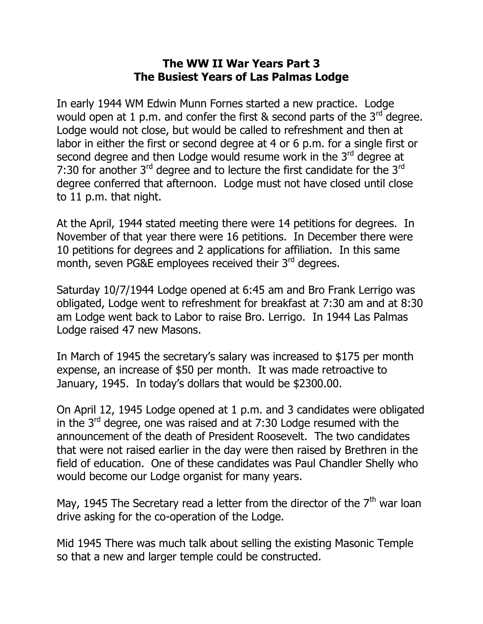## **The WW II War Years Part 3 The Busiest Years of Las Palmas Lodge**

In early 1944 WM Edwin Munn Fornes started a new practice. Lodge would open at 1 p.m. and confer the first  $\&$  second parts of the 3<sup>rd</sup> degree. Lodge would not close, but would be called to refreshment and then at labor in either the first or second degree at 4 or 6 p.m. for a single first or second degree and then Lodge would resume work in the 3<sup>rd</sup> degree at 7:30 for another  $3<sup>rd</sup>$  degree and to lecture the first candidate for the  $3<sup>rd</sup>$ degree conferred that afternoon. Lodge must not have closed until close to 11 p.m. that night.

At the April, 1944 stated meeting there were 14 petitions for degrees. In November of that year there were 16 petitions. In December there were 10 petitions for degrees and 2 applications for affiliation. In this same month, seven PG&E employees received their 3<sup>rd</sup> degrees.

Saturday 10/7/1944 Lodge opened at 6:45 am and Bro Frank Lerrigo was obligated, Lodge went to refreshment for breakfast at 7:30 am and at 8:30 am Lodge went back to Labor to raise Bro. Lerrigo. In 1944 Las Palmas Lodge raised 47 new Masons.

In March of 1945 the secretary's salary was increased to \$175 per month expense, an increase of \$50 per month. It was made retroactive to January, 1945. In today's dollars that would be \$2300.00.

On April 12, 1945 Lodge opened at 1 p.m. and 3 candidates were obligated in the 3rd degree, one was raised and at 7:30 Lodge resumed with the announcement of the death of President Roosevelt. The two candidates that were not raised earlier in the day were then raised by Brethren in the field of education. One of these candidates was Paul Chandler Shelly who would become our Lodge organist for many years.

May, 1945 The Secretary read a letter from the director of the  $7<sup>th</sup>$  war loan drive asking for the co-operation of the Lodge.

Mid 1945 There was much talk about selling the existing Masonic Temple so that a new and larger temple could be constructed.